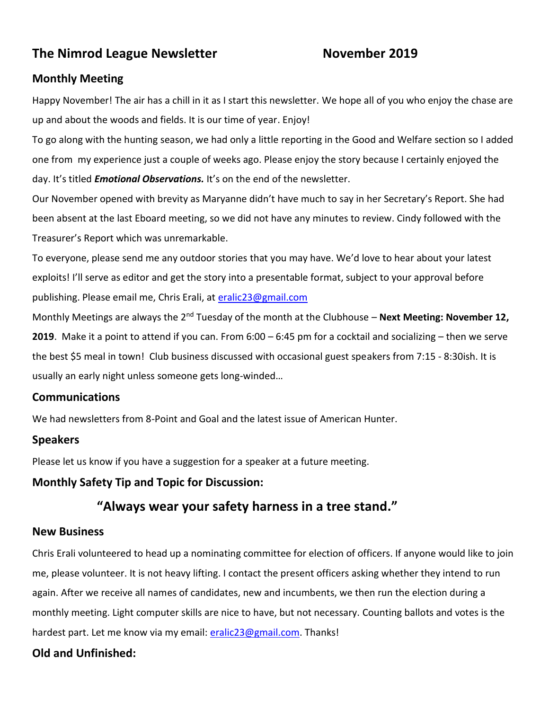# **The Nimrod League Newsletter Movember 2019**

## **Monthly Meeting**

Happy November! The air has a chill in it as I start this newsletter. We hope all of you who enjoy the chase are up and about the woods and fields. It is our time of year. Enjoy!

To go along with the hunting season, we had only a little reporting in the Good and Welfare section so I added one from my experience just a couple of weeks ago. Please enjoy the story because I certainly enjoyed the day. It's titled *Emotional Observations.* It's on the end of the newsletter.

Our November opened with brevity as Maryanne didn't have much to say in her Secretary's Report. She had been absent at the last Eboard meeting, so we did not have any minutes to review. Cindy followed with the Treasurer's Report which was unremarkable.

To everyone, please send me any outdoor stories that you may have. We'd love to hear about your latest exploits! I'll serve as editor and get the story into a presentable format, subject to your approval before publishing. Please email me, Chris Erali, at [eralic23@gmail.com](mailto:eralic23@gmail.com)

Monthly Meetings are always the 2<sup>nd</sup> Tuesday of the month at the Clubhouse – **Next Meeting: November 12, 2019**. Make it a point to attend if you can. From 6:00 – 6:45 pm for a cocktail and socializing – then we serve the best \$5 meal in town! Club business discussed with occasional guest speakers from 7:15 - 8:30ish. It is usually an early night unless someone gets long-winded…

## **Communications**

We had newsletters from 8-Point and Goal and the latest issue of American Hunter.

## **Speakers**

Please let us know if you have a suggestion for a speaker at a future meeting.

## **Monthly Safety Tip and Topic for Discussion:**

# **"Always wear your safety harness in a tree stand."**

## **New Business**

Chris Erali volunteered to head up a nominating committee for election of officers. If anyone would like to join me, please volunteer. It is not heavy lifting. I contact the present officers asking whether they intend to run again. After we receive all names of candidates, new and incumbents, we then run the election during a monthly meeting. Light computer skills are nice to have, but not necessary. Counting ballots and votes is the hardest part. Let me know via my email: [eralic23@gmail.com.](mailto:eralic23@gmail.com) Thanks!

# **Old and Unfinished:**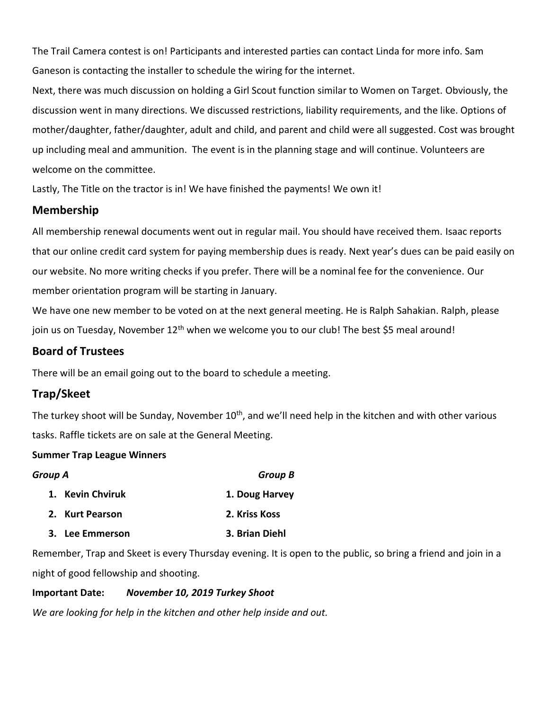The Trail Camera contest is on! Participants and interested parties can contact Linda for more info. Sam Ganeson is contacting the installer to schedule the wiring for the internet.

Next, there was much discussion on holding a Girl Scout function similar to Women on Target. Obviously, the discussion went in many directions. We discussed restrictions, liability requirements, and the like. Options of mother/daughter, father/daughter, adult and child, and parent and child were all suggested. Cost was brought up including meal and ammunition. The event is in the planning stage and will continue. Volunteers are welcome on the committee.

Lastly, The Title on the tractor is in! We have finished the payments! We own it!

## **Membership**

All membership renewal documents went out in regular mail. You should have received them. Isaac reports that our online credit card system for paying membership dues is ready. Next year's dues can be paid easily on our website. No more writing checks if you prefer. There will be a nominal fee for the convenience. Our member orientation program will be starting in January.

We have one new member to be voted on at the next general meeting. He is Ralph Sahakian. Ralph, please join us on Tuesday, November 12<sup>th</sup> when we welcome you to our club! The best \$5 meal around!

# **Board of Trustees**

There will be an email going out to the board to schedule a meeting.

# **Trap/Skeet**

The turkey shoot will be Sunday, November 10<sup>th</sup>, and we'll need help in the kitchen and with other various tasks. Raffle tickets are on sale at the General Meeting.

### **Summer Trap League Winners**

| Group A          | <b>Group B</b> |
|------------------|----------------|
| 1. Kevin Chviruk | 1. Doug Harvey |
| 2. Kurt Pearson  | 2. Kriss Koss  |
| 3. Lee Emmerson  | 3. Brian Diehl |

Remember, Trap and Skeet is every Thursday evening. It is open to the public, so bring a friend and join in a night of good fellowship and shooting.

### **Important Date:** *November 10, 2019 Turkey Shoot*

*We are looking for help in the kitchen and other help inside and out.*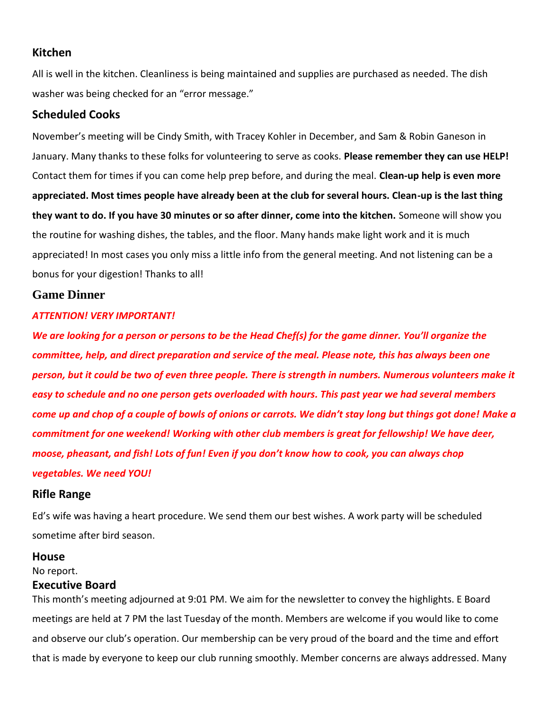### **Kitchen**

All is well in the kitchen. Cleanliness is being maintained and supplies are purchased as needed. The dish washer was being checked for an "error message."

### **Scheduled Cooks**

November's meeting will be Cindy Smith, with Tracey Kohler in December, and Sam & Robin Ganeson in January. Many thanks to these folks for volunteering to serve as cooks. **Please remember they can use HELP!** Contact them for times if you can come help prep before, and during the meal. **Clean-up help is even more appreciated. Most times people have already been at the club for several hours. Clean-up is the last thing they want to do. If you have 30 minutes or so after dinner, come into the kitchen.** Someone will show you the routine for washing dishes, the tables, and the floor. Many hands make light work and it is much appreciated! In most cases you only miss a little info from the general meeting. And not listening can be a bonus for your digestion! Thanks to all!

### **Game Dinner**

#### *ATTENTION! VERY IMPORTANT!*

*We are looking for a person or persons to be the Head Chef(s) for the game dinner. You'll organize the committee, help, and direct preparation and service of the meal. Please note, this has always been one person, but it could be two of even three people. There is strength in numbers. Numerous volunteers make it easy to schedule and no one person gets overloaded with hours. This past year we had several members come up and chop of a couple of bowls of onions or carrots. We didn't stay long but things got done! Make a commitment for one weekend! Working with other club members is great for fellowship! We have deer, moose, pheasant, and fish! Lots of fun! Even if you don't know how to cook, you can always chop vegetables. We need YOU!*

#### **Rifle Range**

Ed's wife was having a heart procedure. We send them our best wishes. A work party will be scheduled sometime after bird season.

#### **House**

No report.

#### **Executive Board**

This month's meeting adjourned at 9:01 PM. We aim for the newsletter to convey the highlights. E Board meetings are held at 7 PM the last Tuesday of the month. Members are welcome if you would like to come and observe our club's operation. Our membership can be very proud of the board and the time and effort that is made by everyone to keep our club running smoothly. Member concerns are always addressed. Many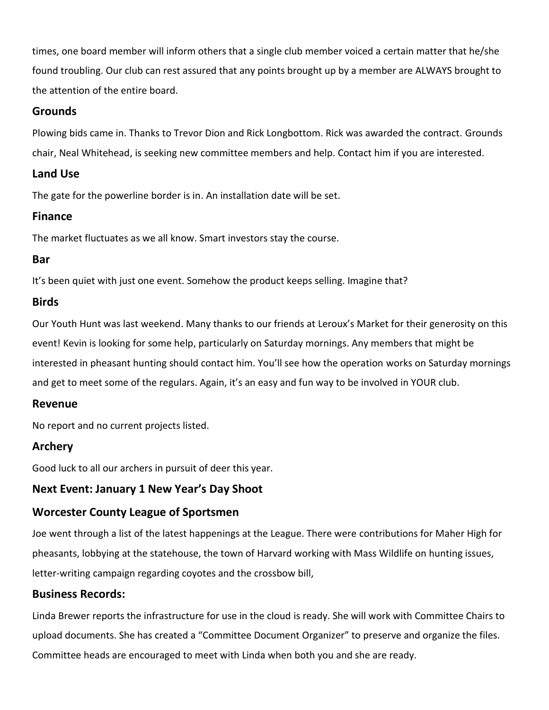times, one board member will inform others that a single club member voiced a certain matter that he/she found troubling. Our club can rest assured that any points brought up by a member are ALWAYS brought to the attention of the entire board.

## **Grounds**

Plowing bids came in. Thanks to Trevor Dion and Rick Longbottom. Rick was awarded the contract. Grounds chair, Neal Whitehead, is seeking new committee members and help. Contact him if you are interested.

# **Land Use**

The gate for the powerline border is in. An installation date will be set.

# **Finance**

The market fluctuates as we all know. Smart investors stay the course.

# **Bar**

It's been quiet with just one event. Somehow the product keeps selling. Imagine that?

# **Birds**

Our Youth Hunt was last weekend. Many thanks to our friends at Leroux's Market for their generosity on this event! Kevin is looking for some help, particularly on Saturday mornings. Any members that might be interested in pheasant hunting should contact him. You'll see how the operation works on Saturday mornings and get to meet some of the regulars. Again, it's an easy and fun way to be involved in YOUR club.

## **Revenue**

No report and no current projects listed.

# **Archery**

Good luck to all our archers in pursuit of deer this year.

# **Next Event: January 1 New Year's Day Shoot**

# **Worcester County League of Sportsmen**

Joe went through a list of the latest happenings at the League. There were contributions for Maher High for pheasants, lobbying at the statehouse, the town of Harvard working with Mass Wildlife on hunting issues, letter-writing campaign regarding coyotes and the crossbow bill,

## **Business Records:**

Linda Brewer reports the infrastructure for use in the cloud is ready. She will work with Committee Chairs to upload documents. She has created a "Committee Document Organizer" to preserve and organize the files. Committee heads are encouraged to meet with Linda when both you and she are ready.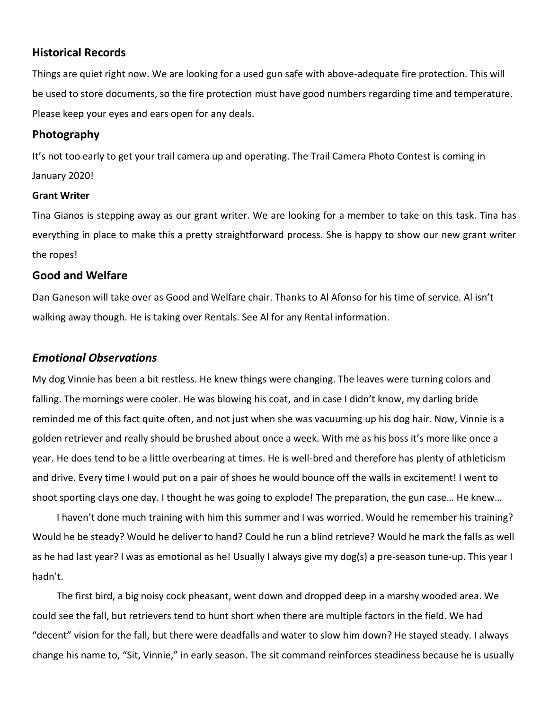### **Historical Records**

Things are quiet right now. We are looking for a used gun safe with above-adequate fire protection. This will be used to store documents, so the fire protection must have good numbers regarding time and temperature. Please keep your eyes and ears open for any deals.

### **Photography**

It's not too early to get your trail camera up and operating. The Trail Camera Photo Contest is coming in January 2020!

#### **Grant Writer**

Tina Gianos is stepping away as our grant writer. We are looking for a member to take on this task. Tina has everything in place to make this a pretty straightforward process. She is happy to show our new grant writer the ropes!

### **Good and Welfare**

Dan Ganeson will take over as Good and Welfare chair. Thanks to Al Afonso for his time of service. Al isn't walking away though. He is taking over Rentals. See Al for any Rental information.

### *Emotional Observations*

My dog Vinnie has been a bit restless. He knew things were changing. The leaves were turning colors and falling. The mornings were cooler. He was blowing his coat, and in case I didn't know, my darling bride reminded me of this fact quite often, and not just when she was vacuuming up his dog hair. Now, Vinnie is a golden retriever and really should be brushed about once a week. With me as his boss it's more like once a year. He does tend to be a little overbearing at times. He is well-bred and therefore has plenty of athleticism and drive. Every time I would put on a pair of shoes he would bounce off the walls in excitement! I went to shoot sporting clays one day. I thought he was going to explode! The preparation, the gun case… He knew…

 I haven't done much training with him this summer and I was worried. Would he remember his training? Would he be steady? Would he deliver to hand? Could he run a blind retrieve? Would he mark the falls as well as he had last year? I was as emotional as he! Usually I always give my dog(s) a pre-season tune-up. This year I hadn't.

 The first bird, a big noisy cock pheasant, went down and dropped deep in a marshy wooded area. We could see the fall, but retrievers tend to hunt short when there are multiple factors in the field. We had "decent" vision for the fall, but there were deadfalls and water to slow him down? He stayed steady. I always change his name to, "Sit, Vinnie," in early season. The sit command reinforces steadiness because he is usually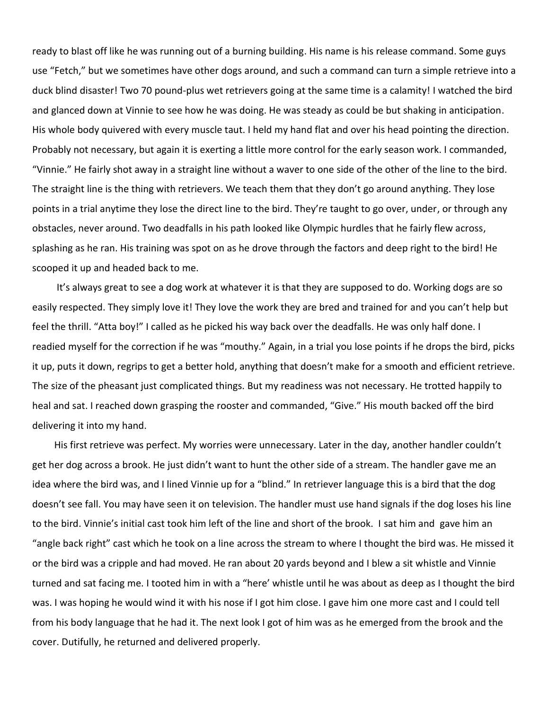ready to blast off like he was running out of a burning building. His name is his release command. Some guys use "Fetch," but we sometimes have other dogs around, and such a command can turn a simple retrieve into a duck blind disaster! Two 70 pound-plus wet retrievers going at the same time is a calamity! I watched the bird and glanced down at Vinnie to see how he was doing. He was steady as could be but shaking in anticipation. His whole body quivered with every muscle taut. I held my hand flat and over his head pointing the direction. Probably not necessary, but again it is exerting a little more control for the early season work. I commanded, "Vinnie." He fairly shot away in a straight line without a waver to one side of the other of the line to the bird. The straight line is the thing with retrievers. We teach them that they don't go around anything. They lose points in a trial anytime they lose the direct line to the bird. They're taught to go over, under, or through any obstacles, never around. Two deadfalls in his path looked like Olympic hurdles that he fairly flew across, splashing as he ran. His training was spot on as he drove through the factors and deep right to the bird! He scooped it up and headed back to me.

 It's always great to see a dog work at whatever it is that they are supposed to do. Working dogs are so easily respected. They simply love it! They love the work they are bred and trained for and you can't help but feel the thrill. "Atta boy!" I called as he picked his way back over the deadfalls. He was only half done. I readied myself for the correction if he was "mouthy." Again, in a trial you lose points if he drops the bird, picks it up, puts it down, regrips to get a better hold, anything that doesn't make for a smooth and efficient retrieve. The size of the pheasant just complicated things. But my readiness was not necessary. He trotted happily to heal and sat. I reached down grasping the rooster and commanded, "Give." His mouth backed off the bird delivering it into my hand.

 His first retrieve was perfect. My worries were unnecessary. Later in the day, another handler couldn't get her dog across a brook. He just didn't want to hunt the other side of a stream. The handler gave me an idea where the bird was, and I lined Vinnie up for a "blind." In retriever language this is a bird that the dog doesn't see fall. You may have seen it on television. The handler must use hand signals if the dog loses his line to the bird. Vinnie's initial cast took him left of the line and short of the brook. I sat him and gave him an "angle back right" cast which he took on a line across the stream to where I thought the bird was. He missed it or the bird was a cripple and had moved. He ran about 20 yards beyond and I blew a sit whistle and Vinnie turned and sat facing me. I tooted him in with a "here' whistle until he was about as deep as I thought the bird was. I was hoping he would wind it with his nose if I got him close. I gave him one more cast and I could tell from his body language that he had it. The next look I got of him was as he emerged from the brook and the cover. Dutifully, he returned and delivered properly.